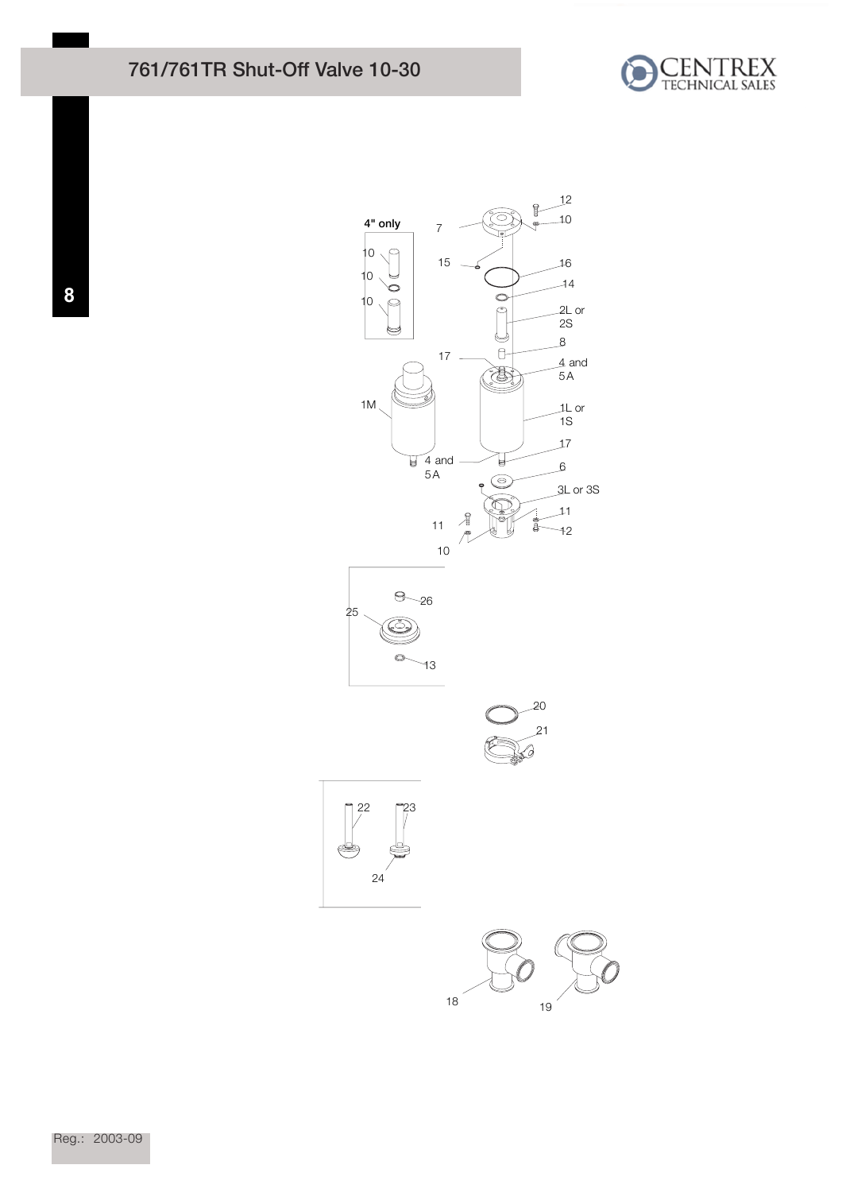## 761/761TR Shut-Off Valve 10-30





<sup>19</sup>

Reg.: 2003-09